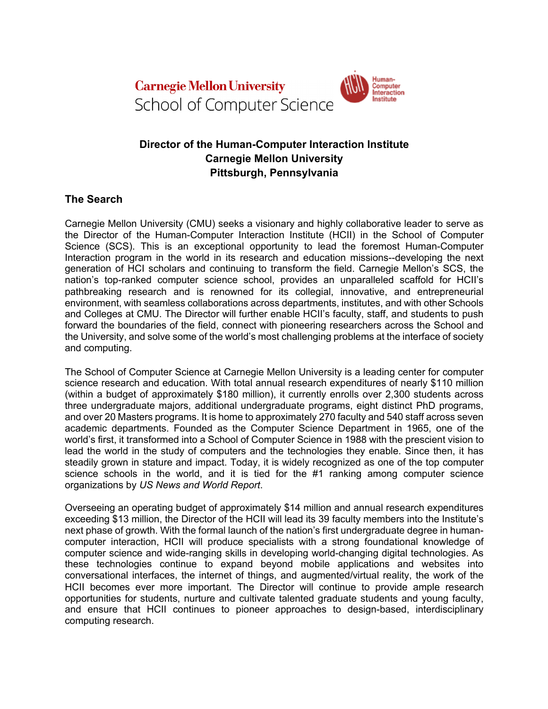

# **Director of the Human-Computer Interaction Institute Carnegie Mellon University Pittsburgh, Pennsylvania**

Human-

Computer<br>Interaction

nstitute

## **The Search**

Carnegie Mellon University (CMU) seeks a visionary and highly collaborative leader to serve as the Director of the Human-Computer Interaction Institute (HCII) in the School of Computer Science (SCS). This is an exceptional opportunity to lead the foremost Human-Computer Interaction program in the world in its research and education missions--developing the next generation of HCI scholars and continuing to transform the field. Carnegie Mellon's SCS, the nation's top-ranked computer science school, provides an unparalleled scaffold for HCII's pathbreaking research and is renowned for its collegial, innovative, and entrepreneurial environment, with seamless collaborations across departments, institutes, and with other Schools and Colleges at CMU. The Director will further enable HCII's faculty, staff, and students to push forward the boundaries of the field, connect with pioneering researchers across the School and the University, and solve some of the world's most challenging problems at the interface of society and computing.

The School of Computer Science at Carnegie Mellon University is a leading center for computer science research and education. With total annual research expenditures of nearly \$110 million (within a budget of approximately \$180 million), it currently enrolls over 2,300 students across three undergraduate majors, additional undergraduate programs, eight distinct PhD programs, and over 20 Masters programs. It is home to approximately 270 faculty and 540 staff across seven academic departments. Founded as the Computer Science Department in 1965, one of the world's first, it transformed into a School of Computer Science in 1988 with the prescient vision to lead the world in the study of computers and the technologies they enable. Since then, it has steadily grown in stature and impact. Today, it is widely recognized as one of the top computer science schools in the world, and it is tied for the #1 ranking among computer science organizations by *US News and World Report*.

Overseeing an operating budget of approximately \$14 million and annual research expenditures exceeding \$13 million, the Director of the HCII will lead its 39 faculty members into the Institute's next phase of growth. With the formal launch of the nation's first undergraduate degree in humancomputer interaction, HCII will produce specialists with a strong foundational knowledge of computer science and wide-ranging skills in developing world-changing digital technologies. As these technologies continue to expand beyond mobile applications and websites into conversational interfaces, the internet of things, and augmented/virtual reality, the work of the HCII becomes ever more important. The Director will continue to provide ample research opportunities for students, nurture and cultivate talented graduate students and young faculty, and ensure that HCII continues to pioneer approaches to design-based, interdisciplinary computing research.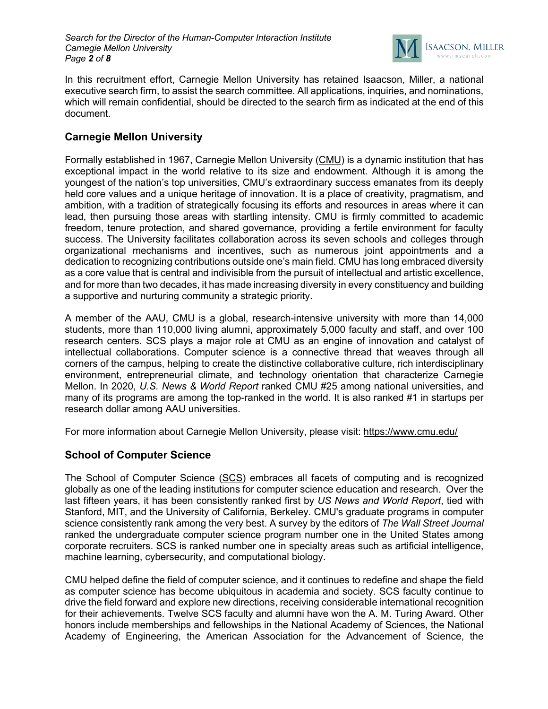

In this recruitment effort, Carnegie Mellon University has retained Isaacson, Miller, a national executive search firm, to assist the search committee. All applications, inquiries, and nominations, which will remain confidential, should be directed to the search firm as indicated at the end of this document.

# **Carnegie Mellon University**

Formally established in 1967, Carnegie Mellon University (CMU) is a dynamic institution that has exceptional impact in the world relative to its size and endowment. Although it is among the youngest of the nation's top universities, CMU's extraordinary success emanates from its deeply held core values and a unique heritage of innovation. It is a place of creativity, pragmatism, and ambition, with a tradition of strategically focusing its efforts and resources in areas where it can lead, then pursuing those areas with startling intensity. CMU is firmly committed to academic freedom, tenure protection, and shared governance, providing a fertile environment for faculty success. The University facilitates collaboration across its seven schools and colleges through organizational mechanisms and incentives, such as numerous joint appointments and a dedication to recognizing contributions outside one's main field. CMU has long embraced diversity as a core value that is central and indivisible from the pursuit of intellectual and artistic excellence, and for more than two decades, it has made increasing diversity in every constituency and building a supportive and nurturing community a strategic priority.

A member of the AAU, CMU is a global, research-intensive university with more than 14,000 students, more than 110,000 living alumni, approximately 5,000 faculty and staff, and over 100 research centers. SCS plays a major role at CMU as an engine of innovation and catalyst of intellectual collaborations. Computer science is a connective thread that weaves through all corners of the campus, helping to create the distinctive collaborative culture, rich interdisciplinary environment, entrepreneurial climate, and technology orientation that characterize Carnegie Mellon. In 2020, *U.S. News & World Report* ranked CMU #25 among national universities, and many of its programs are among the top-ranked in the world. It is also ranked #1 in startups per research dollar among AAU universities.

For more information about Carnegie Mellon University, please visit: https://www.cmu.edu/

## **School of Computer Science**

The School of Computer Science (SCS) embraces all facets of computing and is recognized globally as one of the leading institutions for computer science education and research. Over the last fifteen years, it has been consistently ranked first by *US News and World Report*, tied with Stanford, MIT, and the University of California, Berkeley. CMU's graduate programs in computer science consistently rank among the very best. A survey by the editors of *The Wall Street Journal* ranked the undergraduate computer science program number one in the United States among corporate recruiters. SCS is ranked number one in specialty areas such as artificial intelligence, machine learning, cybersecurity, and computational biology.

CMU helped define the field of computer science, and it continues to redefine and shape the field as computer science has become ubiquitous in academia and society. SCS faculty continue to drive the field forward and explore new directions, receiving considerable international recognition for their achievements. Twelve SCS faculty and alumni have won the A. M. Turing Award. Other honors include memberships and fellowships in the National Academy of Sciences, the National Academy of Engineering, the American Association for the Advancement of Science, the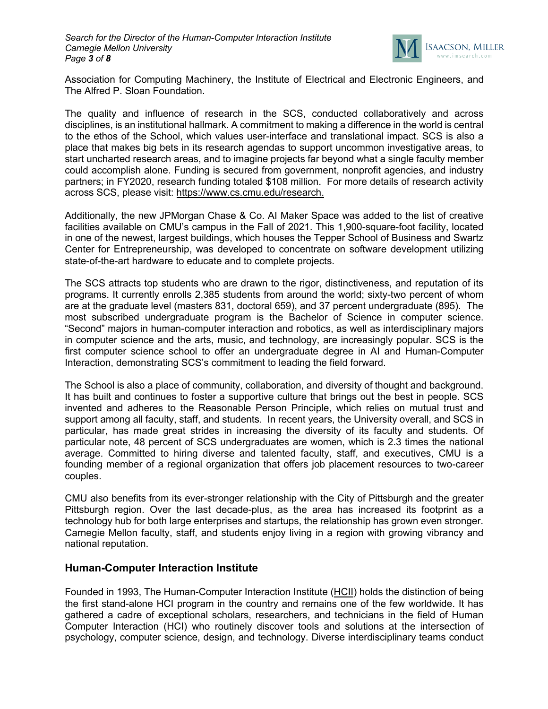

Association for Computing Machinery, the Institute of Electrical and Electronic Engineers, and The Alfred P. Sloan Foundation.

The quality and influence of research in the SCS, conducted collaboratively and across disciplines, is an institutional hallmark. A commitment to making a difference in the world is central to the ethos of the School, which values user-interface and translational impact. SCS is also a place that makes big bets in its research agendas to support uncommon investigative areas, to start uncharted research areas, and to imagine projects far beyond what a single faculty member could accomplish alone. Funding is secured from government, nonprofit agencies, and industry partners; in FY2020, research funding totaled \$108 million. For more details of research activity across SCS, please visit: https://www.cs.cmu.edu/research.

Additionally, the new JPMorgan Chase & Co. AI Maker Space was added to the list of creative facilities available on CMU's campus in the Fall of 2021. This 1,900-square-foot facility, located in one of the newest, largest buildings, which houses the Tepper School of Business and Swartz Center for Entrepreneurship, was developed to concentrate on software development utilizing state-of-the-art hardware to educate and to complete projects.

The SCS attracts top students who are drawn to the rigor, distinctiveness, and reputation of its programs. It currently enrolls 2,385 students from around the world; sixty-two percent of whom are at the graduate level (masters 831, doctoral 659), and 37 percent undergraduate (895). The most subscribed undergraduate program is the Bachelor of Science in computer science. "Second" majors in human-computer interaction and robotics, as well as interdisciplinary majors in computer science and the arts, music, and technology, are increasingly popular. SCS is the first computer science school to offer an undergraduate degree in AI and Human-Computer Interaction, demonstrating SCS's commitment to leading the field forward.

The School is also a place of community, collaboration, and diversity of thought and background. It has built and continues to foster a supportive culture that brings out the best in people. SCS invented and adheres to the Reasonable Person Principle, which relies on mutual trust and support among all faculty, staff, and students. In recent years, the University overall, and SCS in particular, has made great strides in increasing the diversity of its faculty and students. Of particular note, 48 percent of SCS undergraduates are women, which is 2.3 times the national average. Committed to hiring diverse and talented faculty, staff, and executives, CMU is a founding member of a regional organization that offers job placement resources to two-career couples.

CMU also benefits from its ever-stronger relationship with the City of Pittsburgh and the greater Pittsburgh region. Over the last decade-plus, as the area has increased its footprint as a technology hub for both large enterprises and startups, the relationship has grown even stronger. Carnegie Mellon faculty, staff, and students enjoy living in a region with growing vibrancy and national reputation.

#### **Human-Computer Interaction Institute**

Founded in 1993, The Human-Computer Interaction Institute (HCII) holds the distinction of being the first stand-alone HCI program in the country and remains one of the few worldwide. It has gathered a cadre of exceptional scholars, researchers, and technicians in the field of Human Computer Interaction (HCI) who routinely discover tools and solutions at the intersection of psychology, computer science, design, and technology. Diverse interdisciplinary teams conduct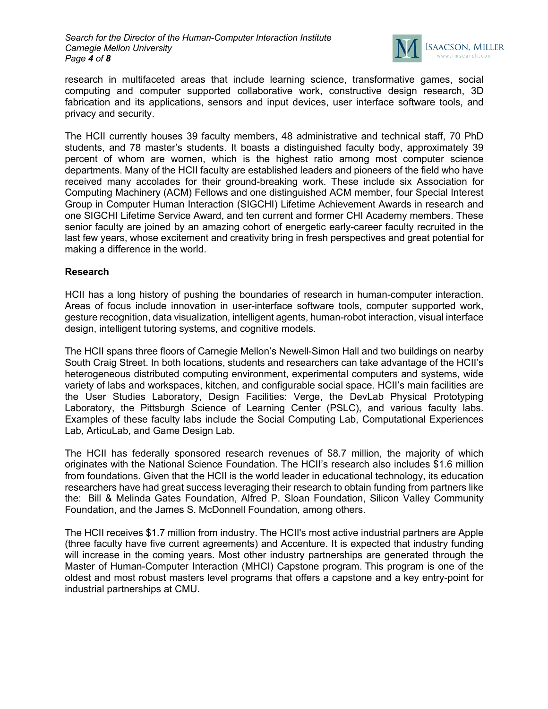

research in multifaceted areas that include learning science, transformative games, social computing and computer supported collaborative work, constructive design research, 3D fabrication and its applications, sensors and input devices, user interface software tools, and privacy and security.

The HCII currently houses 39 faculty members, 48 administrative and technical staff, 70 PhD students, and 78 master's students. It boasts a distinguished faculty body, approximately 39 percent of whom are women, which is the highest ratio among most computer science departments. Many of the HCII faculty are established leaders and pioneers of the field who have received many accolades for their ground-breaking work. These include six Association for Computing Machinery (ACM) Fellows and one distinguished ACM member, four Special Interest Group in Computer Human Interaction (SIGCHI) Lifetime Achievement Awards in research and one SIGCHI Lifetime Service Award, and ten current and former CHI Academy members. These senior faculty are joined by an amazing cohort of energetic early-career faculty recruited in the last few years, whose excitement and creativity bring in fresh perspectives and great potential for making a difference in the world.

#### **Research**

HCII has a long history of pushing the boundaries of research in human-computer interaction. Areas of focus include innovation in user-interface software tools, computer supported work, gesture recognition, data visualization, intelligent agents, human-robot interaction, visual interface design, intelligent tutoring systems, and cognitive models.

The HCII spans three floors of Carnegie Mellon's Newell-Simon Hall and two buildings on nearby South Craig Street. In both locations, students and researchers can take advantage of the HCII's heterogeneous distributed computing environment, experimental computers and systems, wide variety of labs and workspaces, kitchen, and configurable social space. HCII's main facilities are the User Studies Laboratory, Design Facilities: Verge, the DevLab Physical Prototyping Laboratory, the Pittsburgh Science of Learning Center (PSLC), and various faculty labs. Examples of these faculty labs include the Social Computing Lab, Computational Experiences Lab, ArticuLab, and Game Design Lab.

The HCII has federally sponsored research revenues of \$8.7 million, the majority of which originates with the National Science Foundation. The HCII's research also includes \$1.6 million from foundations. Given that the HCII is the world leader in educational technology, its education researchers have had great success leveraging their research to obtain funding from partners like the: Bill & Melinda Gates Foundation, Alfred P. Sloan Foundation, Silicon Valley Community Foundation, and the James S. McDonnell Foundation, among others.

The HCII receives \$1.7 million from industry. The HCII's most active industrial partners are Apple (three faculty have five current agreements) and Accenture. It is expected that industry funding will increase in the coming years. Most other industry partnerships are generated through the Master of Human-Computer Interaction (MHCI) Capstone program. This program is one of the oldest and most robust masters level programs that offers a capstone and a key entry-point for industrial partnerships at CMU.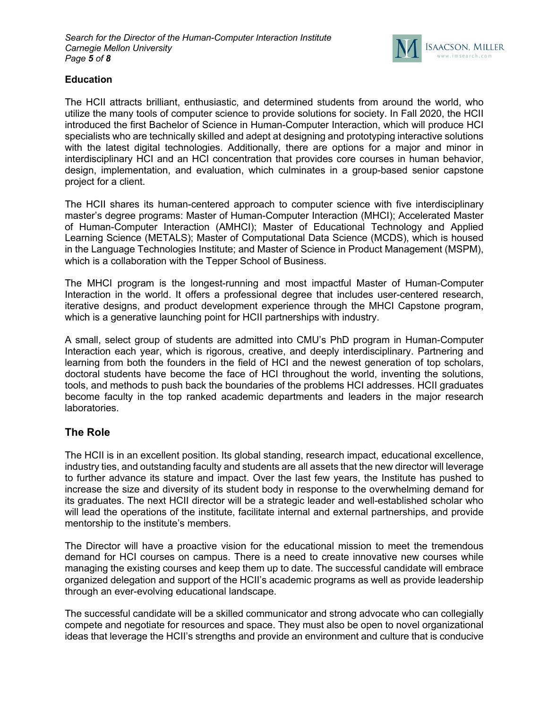

### **Education**

The HCII attracts brilliant, enthusiastic, and determined students from around the world, who utilize the many tools of computer science to provide solutions for society. In Fall 2020, the HCII introduced the first Bachelor of Science in Human-Computer Interaction, which will produce HCI specialists who are technically skilled and adept at designing and prototyping interactive solutions with the latest digital technologies. Additionally, there are options for a major and minor in interdisciplinary HCI and an HCI concentration that provides core courses in human behavior, design, implementation, and evaluation, which culminates in a group-based senior capstone project for a client.

The HCII shares its human-centered approach to computer science with five interdisciplinary master's degree programs: Master of Human-Computer Interaction (MHCI); Accelerated Master of Human-Computer Interaction (AMHCI); Master of Educational Technology and Applied Learning Science (METALS); Master of Computational Data Science (MCDS), which is housed in the Language Technologies Institute; and Master of Science in Product Management (MSPM), which is a collaboration with the Tepper School of Business.

The MHCI program is the longest-running and most impactful Master of Human-Computer Interaction in the world. It offers a professional degree that includes user-centered research, iterative designs, and product development experience through the MHCI Capstone program, which is a generative launching point for HCII partnerships with industry.

A small, select group of students are admitted into CMU's PhD program in Human-Computer Interaction each year, which is rigorous, creative, and deeply interdisciplinary. Partnering and learning from both the founders in the field of HCI and the newest generation of top scholars, doctoral students have become the face of HCI throughout the world, inventing the solutions, tools, and methods to push back the boundaries of the problems HCI addresses. HCII graduates become faculty in the top ranked academic departments and leaders in the major research laboratories.

## **The Role**

The HCII is in an excellent position. Its global standing, research impact, educational excellence, industry ties, and outstanding faculty and students are all assets that the new director will leverage to further advance its stature and impact. Over the last few years, the Institute has pushed to increase the size and diversity of its student body in response to the overwhelming demand for its graduates. The next HCII director will be a strategic leader and well-established scholar who will lead the operations of the institute, facilitate internal and external partnerships, and provide mentorship to the institute's members.

The Director will have a proactive vision for the educational mission to meet the tremendous demand for HCI courses on campus. There is a need to create innovative new courses while managing the existing courses and keep them up to date. The successful candidate will embrace organized delegation and support of the HCII's academic programs as well as provide leadership through an ever-evolving educational landscape.

The successful candidate will be a skilled communicator and strong advocate who can collegially compete and negotiate for resources and space. They must also be open to novel organizational ideas that leverage the HCII's strengths and provide an environment and culture that is conducive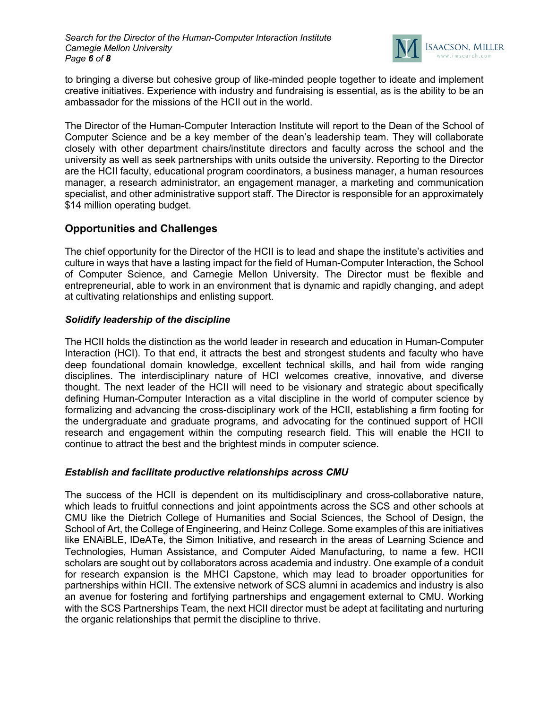

to bringing a diverse but cohesive group of like-minded people together to ideate and implement creative initiatives. Experience with industry and fundraising is essential, as is the ability to be an ambassador for the missions of the HCII out in the world.

The Director of the Human-Computer Interaction Institute will report to the Dean of the School of Computer Science and be a key member of the dean's leadership team. They will collaborate closely with other department chairs/institute directors and faculty across the school and the university as well as seek partnerships with units outside the university. Reporting to the Director are the HCII faculty, educational program coordinators, a business manager, a human resources manager, a research administrator, an engagement manager, a marketing and communication specialist, and other administrative support staff. The Director is responsible for an approximately \$14 million operating budget.

## **Opportunities and Challenges**

The chief opportunity for the Director of the HCII is to lead and shape the institute's activities and culture in ways that have a lasting impact for the field of Human-Computer Interaction, the School of Computer Science, and Carnegie Mellon University. The Director must be flexible and entrepreneurial, able to work in an environment that is dynamic and rapidly changing, and adept at cultivating relationships and enlisting support.

### *Solidify leadership of the discipline*

The HCII holds the distinction as the world leader in research and education in Human-Computer Interaction (HCI). To that end, it attracts the best and strongest students and faculty who have deep foundational domain knowledge, excellent technical skills, and hail from wide ranging disciplines. The interdisciplinary nature of HCI welcomes creative, innovative, and diverse thought. The next leader of the HCII will need to be visionary and strategic about specifically defining Human-Computer Interaction as a vital discipline in the world of computer science by formalizing and advancing the cross-disciplinary work of the HCII, establishing a firm footing for the undergraduate and graduate programs, and advocating for the continued support of HCII research and engagement within the computing research field. This will enable the HCII to continue to attract the best and the brightest minds in computer science.

## *Establish and facilitate productive relationships across CMU*

The success of the HCII is dependent on its multidisciplinary and cross-collaborative nature, which leads to fruitful connections and joint appointments across the SCS and other schools at CMU like the Dietrich College of Humanities and Social Sciences, the School of Design, the School of Art, the College of Engineering, and Heinz College. Some examples of this are initiatives like ENAiBLE, IDeATe, the Simon Initiative, and research in the areas of Learning Science and Technologies, Human Assistance, and Computer Aided Manufacturing, to name a few. HCII scholars are sought out by collaborators across academia and industry. One example of a conduit for research expansion is the MHCI Capstone, which may lead to broader opportunities for partnerships within HCII. The extensive network of SCS alumni in academics and industry is also an avenue for fostering and fortifying partnerships and engagement external to CMU. Working with the SCS Partnerships Team, the next HCII director must be adept at facilitating and nurturing the organic relationships that permit the discipline to thrive.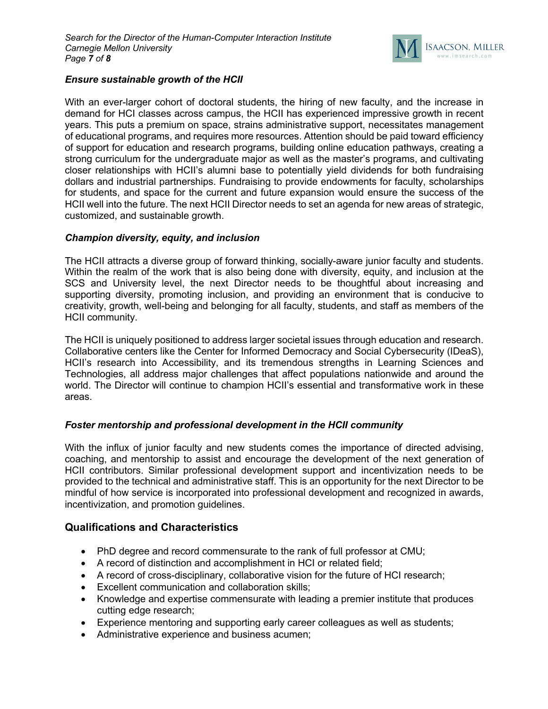

### *Ensure sustainable growth of the HCII*

With an ever-larger cohort of doctoral students, the hiring of new faculty, and the increase in demand for HCI classes across campus, the HCII has experienced impressive growth in recent years. This puts a premium on space, strains administrative support, necessitates management of educational programs, and requires more resources. Attention should be paid toward efficiency of support for education and research programs, building online education pathways, creating a strong curriculum for the undergraduate major as well as the master's programs, and cultivating closer relationships with HCII's alumni base to potentially yield dividends for both fundraising dollars and industrial partnerships. Fundraising to provide endowments for faculty, scholarships for students, and space for the current and future expansion would ensure the success of the HCII well into the future. The next HCII Director needs to set an agenda for new areas of strategic, customized, and sustainable growth.

#### *Champion diversity, equity, and inclusion*

The HCII attracts a diverse group of forward thinking, socially-aware junior faculty and students. Within the realm of the work that is also being done with diversity, equity, and inclusion at the SCS and University level, the next Director needs to be thoughtful about increasing and supporting diversity, promoting inclusion, and providing an environment that is conducive to creativity, growth, well-being and belonging for all faculty, students, and staff as members of the HCII community.

The HCII is uniquely positioned to address larger societal issues through education and research. Collaborative centers like the Center for Informed Democracy and Social Cybersecurity (IDeaS), HCII's research into Accessibility, and its tremendous strengths in Learning Sciences and Technologies, all address major challenges that affect populations nationwide and around the world. The Director will continue to champion HCII's essential and transformative work in these areas.

#### *Foster mentorship and professional development in the HCII community*

With the influx of junior faculty and new students comes the importance of directed advising, coaching, and mentorship to assist and encourage the development of the next generation of HCII contributors. Similar professional development support and incentivization needs to be provided to the technical and administrative staff. This is an opportunity for the next Director to be mindful of how service is incorporated into professional development and recognized in awards, incentivization, and promotion guidelines.

#### **Qualifications and Characteristics**

- PhD degree and record commensurate to the rank of full professor at CMU;
- A record of distinction and accomplishment in HCI or related field;
- A record of cross-disciplinary, collaborative vision for the future of HCI research;
- Excellent communication and collaboration skills;
- Knowledge and expertise commensurate with leading a premier institute that produces cutting edge research;
- Experience mentoring and supporting early career colleagues as well as students;
- Administrative experience and business acumen;